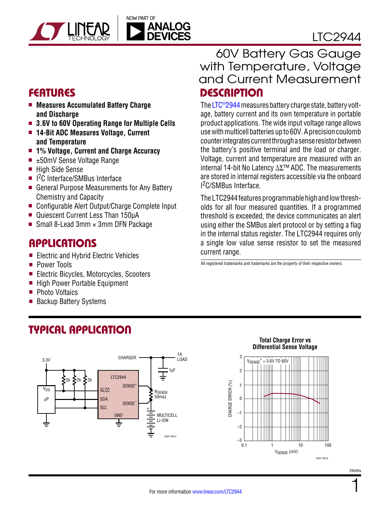

### LTC2944

- **Measures Accumulated Battery Charge and Discharge**
- 3.6V to 60V Operating Range for Multiple Cells
- <sup>n</sup> **14-Bit ADC Measures Voltage, Current and Temperature**
- <sup>n</sup> **1% Voltage, Current and Charge Accuracy**
- $\blacksquare$   $\pm$ 50mV Sense Voltage Range
- High Side Sense
- I<sup>2</sup>C Interface/SMBus Interface
- General Purpose Measurements for Any Battery Chemistry and Capacity
- Configurable Alert Output/Charge Complete Input
- Quiescent Current Less Than 150µA
- Small 8-Lead 3mm  $\times$  3mm DFN Package

### **APPLICATIONS**

- Electric and Hybrid Electric Vehicles
- **Power Tools**
- Electric Bicycles, Motorcycles, Scooters
- $\blacksquare$  High Power Portable Equipment

Typical Application

- Photo Voltaics
- **Backup Battery Systems**

### Features Description 60V Battery Gas Gauge with Temperature, Voltage and Current Measurement

The [LTC®2944](http://www.linear.com/LTC2944) measures battery charge state, battery voltage, battery current and its own temperature in portable product applications. The wide input voltage range allows use with multicell batteries up to 60V. A precision coulomb counter integrates current through a sense resistor between the battery's positive terminal and the load or charger. Voltage, current and temperature are measured with an internal 14-bit No Latency ΔΣ™ ADC. The measurements are stored in internal registers accessible via the onboard I 2C/SMBus Interface.

The LTC2944 features programmable high and low thresholds for all four measured quantities. If a programmed threshold is exceeded, the device communicates an alert using either the SMBus alert protocol or by setting a flag in the internal status register. The LTC2944 requires only a single low value sense resistor to set the measured current range.

All registered trademarks and trademarks are the property of their respective owners.

#### 1A **CHARGER** 3.3V LOAD 1µF LTC2944 ≶າ⊭ SENSE+  $V<sub>DD</sub>$ **ALCC** R<sub>SENSE</sub> 50mΩ SDA µP **SENSE SCL** + MULTICELL <sub>GND</sub> Li-ION Ī 2944 TA01a

#### **Total Charge Error vs Differential Sense Voltage**



1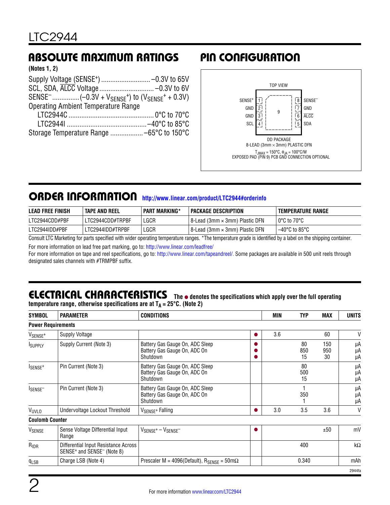### Absolute Maximum Ratings Pin Configuration

| (Notes 1, 2) |  |  |
|--------------|--|--|
|--------------|--|--|

| <b>Operating Ambient Temperature Range</b> |  |
|--------------------------------------------|--|
|                                            |  |
|                                            |  |
|                                            |  |
|                                            |  |



### ORDER INFORMATION <http://www.linear.com/product/LTC2944#orderinfo>

| <b>LEAD FREE FINISH</b> | <b>TAPE AND REEL</b> | <b>PART MARKING*</b> | <b>PACKAGE DESCRIPTION</b>       | <b>TEMPERATURE RANGE</b> |
|-------------------------|----------------------|----------------------|----------------------------------|--------------------------|
| LTC2944CDD#PBF          | LTC2944CDD#TRPBF     | LGCR                 | 18-Lead (3mm × 3mm) Plastic DFN  | l 0°C to 70°C            |
| LTC2944IDD#PBF          | LTC2944IDD#TRPBF     | LGCR                 | † 8-Lead (3mm × 3mm) Plastic DFN | $-40^{\circ}$ C to 85°C  |

Consult LTC Marketing for parts specified with wider operating temperature ranges. \*The temperature grade is identified by a label on the shipping container.

For more information on lead free part marking, go to:<http://www.linear.com/leadfree/>

For more information on tape and reel specifications, go to: <http://www.linear.com/tapeandreel/>. Some packages are available in 500 unit reels through designated sales channels with #TRMPBF suffix.

### **ELECTRICAL CHARACTERISTICS** The  $\bullet$  denotes the specifications which apply over the full operating

**SYMBOL PARAMETER CONDITIONS MIN TYP MAX UNITS temperature range, otherwise specifications are at**  $T_A = 25^{\circ}C$ **. (Note 2)** 

| <b>JIMDUL</b>                  | <b>FARAMLILR</b>                                                                           | <b>UUNUITIUNO</b>                                                           | ww  |                 | <b>IVIMA</b>     | UNIIJ          |
|--------------------------------|--------------------------------------------------------------------------------------------|-----------------------------------------------------------------------------|-----|-----------------|------------------|----------------|
| <b>Power Requirements</b>      |                                                                                            |                                                                             |     |                 |                  |                |
| V <sub>SENSE<sup>+</sup></sub> | Supply Voltage                                                                             |                                                                             | 3.6 |                 | 60               | V              |
| <b>ISUPPLY</b>                 | Supply Current (Note 3)                                                                    | Battery Gas Gauge On, ADC Sleep<br>Battery Gas Gauge On, ADC On<br>Shutdown |     | 80<br>850<br>15 | 150<br>950<br>30 | μA<br>μA<br>μA |
| ISENSE <sup>+</sup>            | Pin Current (Note 3)                                                                       | Battery Gas Gauge On, ADC Sleep<br>Battery Gas Gauge On, ADC On<br>Shutdown |     | 80<br>500<br>15 |                  | μA<br>μA<br>μA |
| ISENSE <sup>-</sup>            | Pin Current (Note 3)                                                                       | Battery Gas Gauge On, ADC Sleep<br>Battery Gas Gauge On, ADC On<br>Shutdown |     | 350             |                  | μA<br>μA<br>μA |
| VUVLO                          | Undervoltage Lockout Threshold                                                             | V <sub>SENSE</sub> + Falling                                                | 3.0 | 3.5             | 3.6              | V              |
| <b>Coulomb Counter</b>         |                                                                                            |                                                                             |     |                 |                  |                |
| V <sub>SENSE</sub>             | Sense Voltage Differential Input<br>Range                                                  | $V_{\text{SENSE}^+} - V_{\text{SENSE}^-}$                                   |     |                 | ±50              | mV             |
| $R_{IDR}$                      | Differential Input Resistance Across<br>SENSE <sup>+</sup> and SENSE <sup>-</sup> (Note 8) |                                                                             |     | 400             |                  | kΩ             |
| q <sub>LSB</sub>               | Charge LSB (Note 4)                                                                        | Prescaler M = 4096(Default), $R_{\text{SENSE}} = 50 \text{m}\Omega$         |     | 0.340           |                  | mAh            |
|                                |                                                                                            |                                                                             |     |                 |                  | 2944fa         |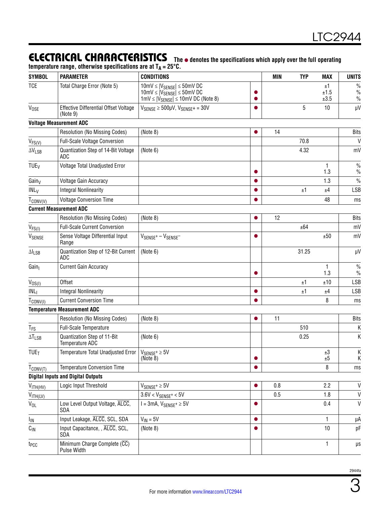### **ELECTRICAL CHARACTERISTICS** The  $\bullet$  denotes the specifications which apply over the full operating

|                        | temperature range, otherwise specifications are at $T_A = 25^{\circ}C$ . |                                                                                                                                                                                                   |   |     |            |                    |                               |
|------------------------|--------------------------------------------------------------------------|---------------------------------------------------------------------------------------------------------------------------------------------------------------------------------------------------|---|-----|------------|--------------------|-------------------------------|
| <b>SYMBOL</b>          | <b>PARAMETER</b>                                                         | <b>CONDITIONS</b>                                                                                                                                                                                 |   | MIN | <b>TYP</b> | <b>MAX</b>         | <b>UNITS</b>                  |
| <b>TCE</b>             | Total Charge Error (Note 5)                                              | $10 \text{mV} \leq  V_{SENSE}  \leq 50 \text{mV} \text{DC}$<br>$10 \text{mV} \leq  V_{\text{SENSE}}  \leq 50 \text{mV}$ DC<br>$1 \text{mV} \leq  V_{\text{SENSE}}  \leq 10 \text{mV DC}$ (Note 8) |   |     |            | ±1<br>±1.5<br>±3.5 | $\frac{0}{0}$<br>$\%$<br>$\%$ |
| V <sub>OSE</sub>       | Effective Differential Offset Voltage<br>(Note 9)                        | $V_{SENSE} \ge 500 \mu V$ , $V_{SENSE} += 30 V$                                                                                                                                                   |   |     | 5          | 10                 | $\mu$ V                       |
|                        | <b>Voltage Measurement ADC</b>                                           |                                                                                                                                                                                                   |   |     |            |                    |                               |
|                        | Resolution (No Missing Codes)                                            | (Note 8)                                                                                                                                                                                          |   | 14  |            |                    | <b>Bits</b>                   |
| $V_{FS(V)}$            | <b>Full-Scale Voltage Conversion</b>                                     |                                                                                                                                                                                                   |   |     | 70.8       |                    | $\mathsf{V}$                  |
| $\Delta V_{LSB}$       | Quantization Step of 14-Bit Voltage<br>ADC                               | (Note 6)                                                                                                                                                                                          |   |     | 4.32       |                    | mV                            |
| <b>TUE<sub>V</sub></b> | Voltage Total Unadjusted Error                                           |                                                                                                                                                                                                   |   |     |            | 1<br>1.3           | $\frac{0}{0}$<br>$\%$         |
| Gain <sub>V</sub>      | Voltage Gain Accuracy                                                    |                                                                                                                                                                                                   |   |     |            | 1.3                | $\%$                          |
| IML <sub>V</sub>       | <b>Integral Nonlinearity</b>                                             |                                                                                                                                                                                                   |   |     | ±1         | ±4                 | <b>LSB</b>                    |
| $T_{CONV(V)}$          | <b>Voltage Conversion Time</b>                                           |                                                                                                                                                                                                   |   |     |            | 48                 | ms                            |
|                        | <b>Current Measurement ADC</b>                                           |                                                                                                                                                                                                   |   |     |            |                    |                               |
|                        | Resolution (No Missing Codes)                                            | (Note 8)                                                                                                                                                                                          | 0 | 12  |            |                    | <b>Bits</b>                   |
| $V_{FS(1)}$            | <b>Full-Scale Current Conversion</b>                                     |                                                                                                                                                                                                   |   |     | ±64        |                    | mV                            |
| VSENSE                 | Sense Voltage Differential Input<br>Range                                | $V_{\text{SENSE}^+} - V_{\text{SENSE}^-}$                                                                                                                                                         |   |     |            | ±50                | mV                            |
| $\Delta I_{LSB}$       | Quantization Step of 12-Bit Current<br>ADC                               | (Note 6)                                                                                                                                                                                          |   |     | 31.25      |                    | μV                            |
| Gain                   | <b>Current Gain Accuracy</b>                                             |                                                                                                                                                                                                   |   |     |            | 1<br>1.3           | $\frac{0}{0}$<br>$\%$         |
| V <sub>OS(1)</sub>     | Offset                                                                   |                                                                                                                                                                                                   |   |     | ±1         | ±10                | <b>LSB</b>                    |
| INL <sub>1</sub>       | <b>Integral Nonlinearity</b>                                             |                                                                                                                                                                                                   |   |     | ±1         | ±4                 | <b>LSB</b>                    |
| $T_{\text{CONV(1)}}$   | <b>Current Conversion Time</b>                                           |                                                                                                                                                                                                   |   |     |            | 8                  | ms                            |
|                        | <b>Temperature Measurement ADC</b>                                       |                                                                                                                                                                                                   |   |     |            |                    |                               |
|                        | <b>Resolution (No Missing Codes)</b>                                     | (Note 8)                                                                                                                                                                                          | ● | 11  |            |                    | <b>Bits</b>                   |
| $T_{FS}$               | Full-Scale Temperature                                                   |                                                                                                                                                                                                   |   |     | 510        |                    | Κ                             |
| $\Delta T_{LSB}$       | Quantization Step of 11-Bit<br>Temperature ADC                           | (Note 6)                                                                                                                                                                                          |   |     | 0.25       |                    | Κ                             |
| <b>TUE<sub>T</sub></b> | Temperature Total Unadjusted Error                                       | $V_{SENSE^{+}} \geq 5V$<br>(Note 8)                                                                                                                                                               |   |     |            | ±З<br>±5           | К<br>Κ                        |
| $T_{CONV(T)}$          | <b>Temperature Conversion Time</b>                                       |                                                                                                                                                                                                   |   |     |            | 8                  | ms                            |
|                        | <b>Digital Inputs and Digital Outputs</b>                                |                                                                                                                                                                                                   |   |     |            |                    |                               |
| V <sub>ITH(HV)</sub>   | Logic Input Threshold                                                    | $V_{SENSE^+} \ge 5V$                                                                                                                                                                              |   | 0.8 |            | 2.2                | V                             |
| $V_{\text{ITH(LV)}}$   |                                                                          | $3.6V < V_{SENSE} + < 5V$                                                                                                                                                                         |   | 0.5 |            | 1.8                | V                             |
| $V_{OL}$               | Low Level Output Voltage, ALCC,<br><b>SDA</b>                            | $I = 3mA$ , $V_{SENSE} + \geq 5V$                                                                                                                                                                 |   |     |            | 0.4                | $\mathsf{V}$                  |
| I <sub>IN</sub>        | Input Leakage, ALCC, SCL, SDA                                            | $V_{IN} = 5V$                                                                                                                                                                                     |   |     |            | 1                  | μA                            |
| $C_{\text{IN}}$        | Input Capacitance, , ALCC, SCL,<br>SDA                                   | (Note 8)                                                                                                                                                                                          |   |     |            | 10                 | pF                            |
| t <sub>PCC</sub>       | Minimum Charge Complete (CC)<br>Pulse Width                              |                                                                                                                                                                                                   |   |     |            |                    | μs                            |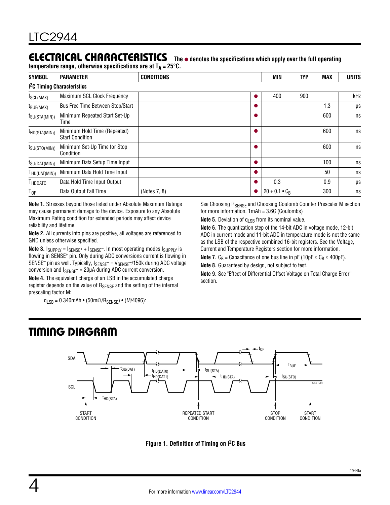### **ELECTRICAL CHARACTERISTICS** The  $\bullet$  denotes the specifications which apply over the full operating

temperature range, otherwise specifications are at T<sub>A</sub> = 25°C.

| <b>SYMBOL</b>                           | <b>PARAMETER</b>                                       | <b>CONDITIONS</b> |   | <b>MIN</b>           | <b>TYP</b> | <b>MAX</b> | <b>UNITS</b> |
|-----------------------------------------|--------------------------------------------------------|-------------------|---|----------------------|------------|------------|--------------|
| 1 <sup>2</sup> C Timing Characteristics |                                                        |                   |   |                      |            |            |              |
| f <sub>SCL(MAX)</sub>                   | Maximum SCL Clock Frequency                            |                   | O | 400                  | 900        |            | kHz          |
| $t_{\text{BUF(MAX)}}$                   | Bus Free Time Between Stop/Start                       |                   | o |                      |            | 1.3        | μs           |
| $t_{\text{SU(STA(MIN))}}$               | Minimum Repeated Start Set-Up<br>Time                  |                   |   |                      |            | 600        | ns           |
| $t_{HD(STA(MIN))}$                      | Minimum Hold Time (Repeated)<br><b>Start Condition</b> |                   |   |                      |            | 600        | ns           |
| $t_{\text{SU(STO(MIN))}}$               | Minimum Set-Up Time for Stop<br>Condition              |                   |   |                      |            | 600        | ns           |
| $t_{\text{SU(DAT(MIN))}}$               | Minimum Data Setup Time Input                          |                   |   |                      |            | 100        | ns           |
| $H_{\text{HD}(\text{DAT}(MIN))}$        | Minimum Data Hold Time Input                           |                   |   |                      |            | 50         | ns           |
| <b>HDDATO</b>                           | Data Hold Time Input Output                            |                   | 0 | 0.3                  |            | 0.9        | μs           |
| $T_{OF}$                                | Data Output Fall Time                                  | (Notes 7, 8)      | ● | $20 + 0.1 \cdot C_R$ |            | 300        | ns           |

**Note 1.** Stresses beyond those listed under Absolute Maximum Ratings may cause permanent damage to the device. Exposure to any Absolute Maximum Rating condition for extended periods may affect device reliability and lifetime.

**Note 2.** All currents into pins are positive, all voltages are referenced to GND unless otherwise specified.

**Note 3.**  $I_{SUPPLY} = I_{SENSE^+} + I_{SENSE^-}$ . In most operating modes  $I_{SUPPLY}$  is flowing in SENSE<sup>+</sup> pin. Only during ADC conversions current is flowing in SENSE<sup>-</sup> pin as well. Typically,  $I_{\text{SENSE}}$  =  $V_{\text{SENSE}}$ -/150k during ADC voltage conversion and  $I_{SENSE}$  = 20µA during ADC current conversion.

**Note 4.** The equivalent charge of an LSB in the accumulated charge register depends on the value of RSENSE and the setting of the internal prescaling factor M:

 $q_{LSB} = 0.340$ mAh • (50m $\Omega$ /R<sub>SENSE</sub>) • (M/4096):

See Choosing R<sub>SENSE</sub> and Choosing Coulomb Counter Prescaler M section for more information. 1mAh = 3.6C (Coulombs)

**Note 5.** Deviation of  $q_{LSB}$  from its nominal value.

**Note 6.** The quantization step of the 14-bit ADC in voltage mode, 12-bit ADC in current mode and 11-bit ADC in temperature mode is not the same as the LSB of the respective combined 16-bit registers. See the Voltage, Current and Temperature Registers section for more information.

**Note 7.**  $C_B$  = Capacitance of one bus line in pF (10pF  $\leq C_B \leq 400pF$ ).

**Note 8.** Guaranteed by design, not subject to test.

**Note 9.** See "Effect of Differential Offset Voltage on Total Charge Error" section.

### Timing Diagram



**Figure 1. Definition of Timing on I2C Bus**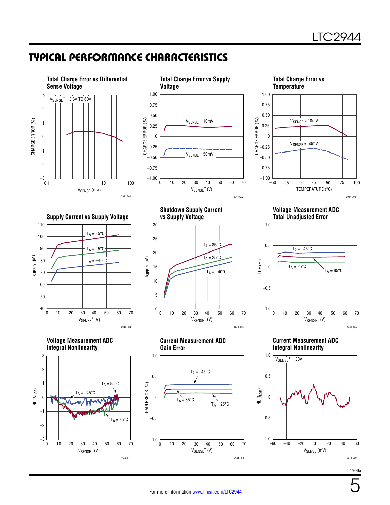5

### Typical Performance Characteristics

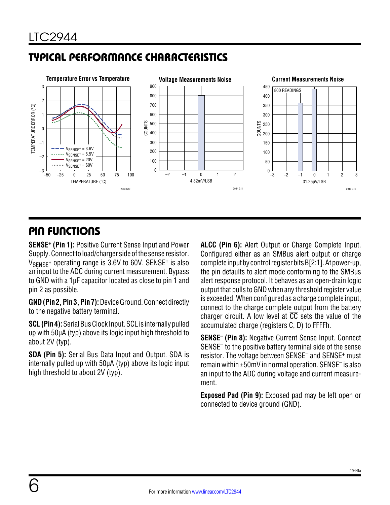### Typical Performance Characteristics



### Pin Functions

**SENSE+ (Pin 1):** Positive Current Sense Input and Power Supply. Connect to load/charger side of the sense resistor.  $V_{\text{SFNSF}}$ + operating range is 3.6V to 60V. SENSE<sup>+</sup> is also an input to the ADC during current measurement. Bypass to GND with a 1µF capacitor located as close to pin 1 and pin 2 as possible.

**GND (Pin 2, Pin 3, Pin 7):** Device Ground. Connect directly to the negative battery terminal.

**SCL (Pin 4):** Serial Bus Clock Input. SCL is internally pulled up with 50µA (typ) above its logic input high threshold to about 2V (typ).

**SDA (Pin 5):** Serial Bus Data Input and Output. SDA is internally pulled up with 50µA (typ) above its logic input high threshold to about 2V (typ).

**ALCC (Pin 6):** Alert Output or Charge Complete Input. Configured either as an SMBus alert output or charge complete input by control register bits B[2:1]. At power-up, the pin defaults to alert mode conforming to the SMBus alert response protocol. It behaves as an open-drain logic output that pulls to GND when any threshold register value is exceeded. When configured as a charge complete input, connect to the charge complete output from the battery charger circuit. A low level at  $\overline{CC}$  sets the value of the accumulated charge (registers C, D) to FFFFh.

**SENSE– (Pin 8):** Negative Current Sense Input. Connect SENSE– to the positive battery terminal side of the sense resistor. The voltage between SENSE<sup>-</sup> and SENSE<sup>+</sup> must remain within ±50mV in normal operation. SENSE– is also an input to the ADC during voltage and current measurement.

**Exposed Pad (Pin 9):** Exposed pad may be left open or connected to device ground (GND).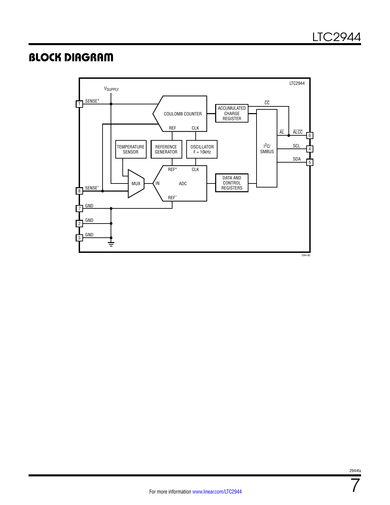### Block Diagram



7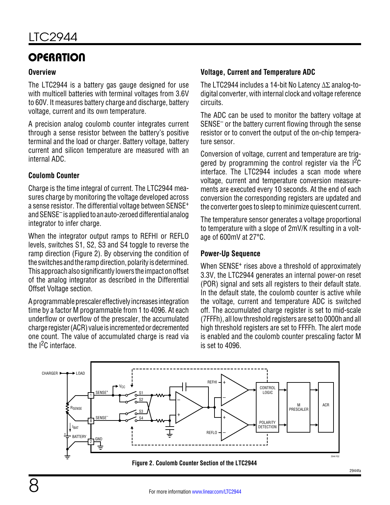### **OPERATION**

#### **Overview**

The LTC2944 is a battery gas gauge designed for use with multicell batteries with terminal voltages from 3.6V to 60V. It measures battery charge and discharge, battery voltage, current and its own temperature.

A precision analog coulomb counter integrates current through a sense resistor between the battery's positive terminal and the load or charger. Battery voltage, battery current and silicon temperature are measured with an internal ADC.

#### **Coulomb Counter**

Charge is the time integral of current. The LTC2944 measures charge by monitoring the voltage developed across a sense resistor. The differential voltage between SENSE<sup>+</sup> and SENSE<sup>–</sup> is applied to an auto-zeroed differential analog integrator to infer charge.

When the integrator output ramps to REFHI or REFLO levels, switches S1, S2, S3 and S4 toggle to reverse the ramp direction (Figure 2). By observing the condition of the switches and the ramp direction, polarity is determined. This approachalsosignificantly lowers the impactonoffset of the analog integrator as described in the Differential Offset Voltage section.

A programmable prescaler effectively increases integration time by a factor M programmable from 1 to 4096. At each underflow or overflow of the prescaler, the accumulated charge register (ACR) value is incremented or decremented one count. The value of accumulated charge is read via the I<sup>2</sup>C interface

#### **Voltage, Current and Temperature ADC**

The LTC2944 includes a 14-bit No Latency ΔΣ analog-todigital converter, with internal clock and voltage reference circuits.

The ADC can be used to monitor the battery voltage at SENSE– or the battery current flowing through the sense resistor or to convert the output of the on-chip temperature sensor.

Conversion of voltage, current and temperature are triggered by programming the control register via the I2C interface. The LTC2944 includes a scan mode where voltage, current and temperature conversion measurements are executed every 10 seconds. At the end of each conversion the corresponding registers are updated and the converter goes to sleep to minimize quiescent current.

The temperature sensor generates a voltage proportional to temperature with a slope of 2mV/K resulting in a voltage of 600mV at 27°C.

#### **Power-Up Sequence**

When SENSE<sup>+</sup> rises above a threshold of approximately 3.3V, the LTC2944 generates an internal power-on reset (POR) signal and sets all registers to their default state. In the default state, the coulomb counter is active while the voltage, current and temperature ADC is switched off. The accumulated charge register is set to mid-scale (7FFFh), all low threshold registers are set to 0000h and all high threshold registers are set to FFFFh. The alert mode is enabled and the coulomb counter prescaling factor M is set to 4096.



**Figure 2. Coulomb Counter Section of the LTC2944**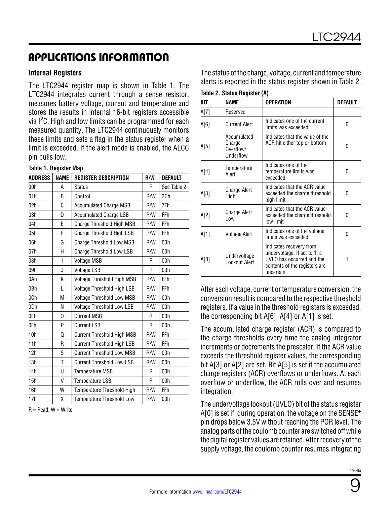#### **Internal Registers**

The LTC2944 register map is shown in Table 1. The LTC2944 integrates current through a sense resistor, measures battery voltage, current and temperature and stores the results in internal 16-bit registers accessible via  $1<sup>2</sup>C$ . High and low limits can be programmed for each measured quantity. The LTC2944 continuously monitors these limits and sets a flag in the status register when a limit is exceeded. If the alert mode is enabled, the  $\overline{\text{ALCC}}$ pin pulls low.

#### **Table 1. Register Map**

| <b>ADDRESS</b><br><b>NAME</b><br><b>REGISTER DESCRIPTION</b> |   |                                   |     | <b>DEFAULT</b>  |
|--------------------------------------------------------------|---|-----------------------------------|-----|-----------------|
| 00h                                                          | А | <b>Status</b>                     | R   | See Table 2     |
| 01h                                                          | B | Control                           | R/W | 3Ch             |
| 02h                                                          | C | <b>Accumulated Charge MSB</b>     | R/W | 7Fh             |
| 03h                                                          | D | <b>Accumulated Charge LSB</b>     | R/W | FFh             |
| 04h                                                          | E | Charge Threshold High MSB         | R/W | FFh             |
| 05h                                                          | F | Charge Threshold High LSB         | R/W | FFh             |
| 06h                                                          | G | <b>Charge Threshold Low MSB</b>   | R/W | 00 <sub>h</sub> |
| 07h                                                          | Η | Charge Threshold Low LSB          | R/W | 00 <sub>h</sub> |
| 08h                                                          | I | <b>Voltage MSB</b>                | R   | 00h             |
| 09h                                                          | J | Voltage LSB                       | R   | 00h             |
| 0Ah                                                          | K | Voltage Threshold High MSB        | R/W | FFh             |
| 0Bh                                                          | L | Voltage Threshold High LSB        | R/W | FFh             |
| 0Ch                                                          | M | <b>Voltage Threshold Low MSB</b>  | R/W | 00h             |
| 0Dh                                                          | N | Voltage Threshold Low LSB         | R/W | 00h             |
| 0Eh                                                          | 0 | <b>Current MSB</b>                | R   | 00h             |
| 0Fh                                                          | P | <b>Current LSB</b>                | R   | 00h             |
| 10h                                                          | Q | <b>Current Threshold High MSB</b> | R/W | FFh             |
| 11h                                                          | R | <b>Current Threshold High LSB</b> | R/W | FFh             |
| 12h                                                          | S | <b>Current Threshold Low MSB</b>  | R/W | 00h             |
| 13h                                                          | T | <b>Current Threshold Low LSB</b>  | R/W | 00h             |
| 14h                                                          | U | <b>Temperature MSB</b>            | R   | 00h             |
| 15h                                                          | V | <b>Temperature LSB</b>            | R   | 00h             |
| 16h                                                          | W | Temperature Threshold High        | R/W | FFh             |
| 17h                                                          | χ | <b>Temperature Threshold Low</b>  | R/W | 00h             |

 $R = Read, W = Write$ 

The status of the charge, voltage, current and temperature alerts is reported in the status register shown in Table 2. Table 2 Status Register (A)

| BIT  | <b>NAME</b>                                     | <b>OPERATION</b>                                                                                                                   | DEFAULT |
|------|-------------------------------------------------|------------------------------------------------------------------------------------------------------------------------------------|---------|
| A[7] | Reserved                                        |                                                                                                                                    |         |
| A[6] | <b>Current Alert</b>                            | Indicates one of the current<br>limits was exceeded                                                                                | 0       |
| A[5] | Accumulated<br>Charge<br>Overflow/<br>Underflow | Indicates that the value of the<br>ACR hit either top or bottom                                                                    | 0       |
| A[4] | Temperature<br>Alert                            | Indicates one of the<br>temperature limits was<br>exceeded                                                                         | 0       |
| A[3] | Charge Alert<br>High                            | Indicates that the ACR value<br>exceeded the charge threshold<br>high limit                                                        | 0       |
| A[2] | Charge Alert<br>l ow                            | Indicates that the ACR value<br>exceeded the charge threshold<br>low limit                                                         | 0       |
| A[1] | Voltage Alert                                   | Indicates one of the voltage<br>limits was exceeded                                                                                | 0       |
| A[0] | Undervoltage<br><b>Lockout Alert</b>            | Indicates recovery from<br>undervoltage. If set to 1, a<br>UVLO has occurred and the<br>contents of the registers are<br>uncertain | 1       |

After each voltage, current or temperature conversion, the conversion result is compared to the respective threshold registers. If a value in the threshold registers is exceeded, the corresponding bit A[6], A[4] or A[1] is set.

The accumulated charge register (ACR) is compared to the charge thresholds every time the analog integrator increments or decrements the prescaler. If the ACR value exceeds the threshold register values, the corresponding bit A[3] or A[2] are set. Bit A[5] is set if the accumulated charge registers (ACR) overflows or underflows. At each overflow or underflow, the ACR rolls over and resumes integration.

The undervoltage lockout (UVLO) bit of the status register A[0] is set if, during operation, the voltage on the SENSE+ pin drops below 3.5V without reaching the POR level. The analog parts of the coulomb counter are switched off while the digital register values are retained. After recovery of the supply voltage, the coulomb counter resumes integrating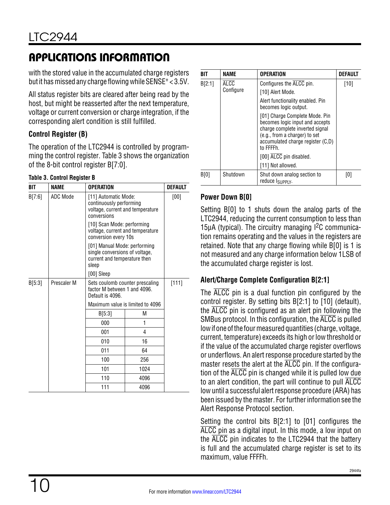with the stored value in the accumulated charge registers but it has missed any charge flowing while SENSE+ < 3.5V.

All status register bits are cleared after being read by the host, but might be reasserted after the next temperature, voltage or current conversion or charge integration, if the corresponding alert condition is still fulfilled.

### **Control Register (B)**

The operation of the LTC2944 is controlled by programming the control register. Table 3 shows the organization of the 8-bit control register B[7:0].

#### **Table 3. Control Register B**

| BIT    | <b>NAME</b> | <b>OPERATION</b>                                                                       |                                                                                                | <b>DEFAULT</b> |  |  |  |  |
|--------|-------------|----------------------------------------------------------------------------------------|------------------------------------------------------------------------------------------------|----------------|--|--|--|--|
| B[7:6] | ADC Mode    | conversions                                                                            | [11] Automatic Mode:<br>continuously performing<br>voltage, current and temperature            |                |  |  |  |  |
|        |             | [10] Scan Mode: performing<br>voltage, current and temperature<br>conversion every 10s |                                                                                                |                |  |  |  |  |
|        |             | sleep                                                                                  | [01] Manual Mode: performing<br>single conversions of voltage,<br>current and temperature then |                |  |  |  |  |
|        |             | $[00]$ Sleep                                                                           |                                                                                                |                |  |  |  |  |
| B[5:3] | Prescaler M | Sets coulomb counter prescaling<br>factor M between 1 and 4096.<br>Default is 4096.    |                                                                                                | [111]          |  |  |  |  |
|        |             | Maximum value is limited to 4096                                                       |                                                                                                |                |  |  |  |  |
|        |             | B[5:3]                                                                                 |                                                                                                |                |  |  |  |  |
|        |             | 000                                                                                    |                                                                                                |                |  |  |  |  |
|        |             | 001                                                                                    | 4                                                                                              |                |  |  |  |  |
|        |             | 010                                                                                    | 16                                                                                             |                |  |  |  |  |
|        |             | 011                                                                                    | 64                                                                                             |                |  |  |  |  |
|        |             | 100                                                                                    | 256                                                                                            |                |  |  |  |  |
|        |             | 101                                                                                    | 1024                                                                                           |                |  |  |  |  |
|        |             | 110                                                                                    | 4096                                                                                           |                |  |  |  |  |
|        |             | 111                                                                                    | 4096                                                                                           |                |  |  |  |  |

| RIT    | NAME      | <b>OPERATION</b>                                                                                                                                                                                                   | <b>DEFAULT</b> |
|--------|-----------|--------------------------------------------------------------------------------------------------------------------------------------------------------------------------------------------------------------------|----------------|
| B[2:1] | ALCC      | Configures the ALCC pin.                                                                                                                                                                                           | [10]           |
|        | Configure | [10] Alert Mode.                                                                                                                                                                                                   |                |
|        |           | Alert functionality enabled. Pin<br>becomes logic output.                                                                                                                                                          |                |
|        |           | [01] Charge Complete Mode. Pin<br>becomes logic input and accepts<br>charge complete inverted signal<br>(e.g., from a charger) to set<br>accumulated charge register (C,D)<br>to FFFFh.<br>[00] ALCC pin disabled. |                |
|        |           | [11] Not allowed.                                                                                                                                                                                                  |                |
| B[0]   | Shutdown  | Shut down analog section to<br>reduce IsuppLy.                                                                                                                                                                     | [0]            |

### **Power Down B[0]**

Setting B[0] to 1 shuts down the analog parts of the LTC2944, reducing the current consumption to less than 15μA (typical). The circuitry managing  $I^2C$  communication remains operating and the values in the registers are retained. Note that any charge flowing while B[0] is 1 is not measured and any charge information below 1LSB of the accumulated charge register is lost.

### **Alert/Charge Complete Configuration B[2:1]**

The ALCC pin is a dual function pin configured by the control register. By setting bits B[2:1] to [10] (default), the ALCC pin is configured as an alert pin following the SMBus protocol. In this configuration, the ALCC is pulled low if one of the four measured quantities (charge, voltage, current, temperature) exceeds its high or low threshold or if the value of the accumulated charge register overflows or underflows. An alert response procedure started by the master resets the alert at the ALCC pin. If the configuration of the ALCC pin is changed while it is pulled low due to an alert condition, the part will continue to pull ALCC low until a successful alert response procedure (ARA) has been issued by the master. For further information see the Alert Response Protocol section.

Setting the control bits B[2:1] to [01] configures the ALCC pin as a digital input. In this mode, a low input on the ALCC pin indicates to the LTC2944 that the battery is full and the accumulated charge register is set to its maximum, value FFFFh.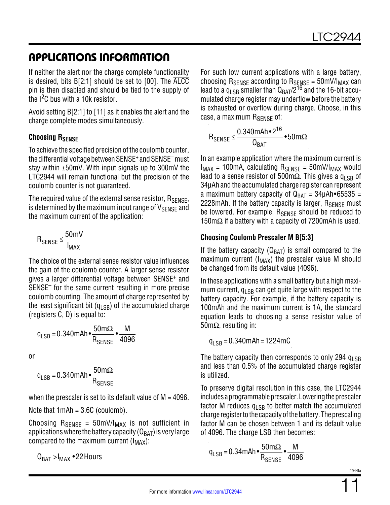If neither the alert nor the charge complete functionality is desired, bits B[2:1] should be set to [00]. The ALCC pin is then disabled and should be tied to the supply of the I<sup>2</sup>C bus with a 10k resistor.

Avoid setting B[2:1] to [11] as it enables the alert and the charge complete modes simultaneously.

### **Choosing RSENSE**

To achieve the specified precision of the coulomb counter, the differential voltage between SENSE+ and SENSE– must stay within  $\pm 50$ mV. With input signals up to 300mV the LTC2944 will remain functional but the precision of the coulomb counter is not guaranteed.

The required value of the external sense resistor, R<sub>SFNSF</sub>, is determined by the maximum input range of  $V_{\text{SFRSF}}$  and the maximum current of the application:

$$
R_{\text{SENSE}} \leq \frac{50 \text{mV}}{I_{\text{MAX}}}
$$

The choice of the external sense resistor value influences the gain of the coulomb counter. A larger sense resistor gives a larger differential voltage between SENSE+ and SENSE– for the same current resulting in more precise coulomb counting. The amount of charge represented by the least significant bit  $(q<sub>LSR</sub>)$  of the accumulated charge (registers C, D) is equal to:

$$
q_{LSB} = 0.340 \text{mAh} \cdot \frac{50 \text{m}\Omega}{R_{SENSE}} \cdot \frac{M}{4096}
$$

or

$$
q_{LSB} = 0.340 \text{mAh} \cdot \frac{50 \text{m}\Omega}{R_{SENSE}}
$$

when the prescaler is set to its default value of  $M = 4096$ .

Note that 1mAh = 3.6C (coulomb).

Choosing  $R_{\text{SENSE}} = 50 \text{mV/I}_{\text{MAX}}$  is not sufficient in applications where the battery capacity ( $Q_{\text{BAT}}$ ) is very large compared to the maximum current  $(I_{MAX})$ :

 $Q_{\text{BAT}} > I_{\text{MAX}}$  • 22 Hours

For such low current applications with a large battery, choosing  $R_{\text{SENSE}}$  according to  $R_{\text{SENSE}} = 50 \text{mV/I}_{\text{MAX}}$  can lead to a  $q_{LSB}$  smaller than  $Q_{BAT}/2^{16}$  and the 16-bit accumulated charge register may underflow before the battery is exhausted or overflow during charge. Choose, in this case, a maximum  $R_{\text{SFNSF}}$  of:

$$
R_{SENSE} \leq \frac{0.340mAh \cdot 2^{16}}{Q_{BAT}} \cdot 50m\Omega
$$

In an example application where the maximum current is  $I_{MAX}$  = 100mA, calculating  $R_{SENSE}$  = 50mV/ $I_{MAX}$  would lead to a sense resistor of 500m $\Omega$ . This gives a q<sub>LSB</sub> of 34μAh and the accumulated charge register can represent a maximum battery capacity of  $Q_{BAT} = 34\mu Ah \cdot 65535 =$ 2228mAh. If the battery capacity is larger,  $R_{\text{SENSF}}$  must be lowered. For example, R<sub>SFNSF</sub> should be reduced to 150m $\Omega$  if a battery with a capacity of 7200mAh is used.

#### **Choosing Coulomb Prescaler M B[5:3]**

If the battery capacity ( $Q_{BAT}$ ) is small compared to the maximum current  $(I_{MAX})$  the prescaler value M should be changed from its default value (4096).

In these applications with a small battery but a high maximum current,  $q_{LSB}$  can get quite large with respect to the battery capacity. For example, if the battery capacity is 100mAh and the maximum current is 1A, the standard equation leads to choosing a sense resistor value of 50mΩ, resulting in:

 $q_{1 \text{ SR}} = 0.340 \text{ mA} \text{h} = 1224 \text{ m} \text{C}$ 

The battery capacity then corresponds to only 294  $q_{LSB}$ and less than 0.5% of the accumulated charge register is utilized.

To preserve digital resolution in this case, the LTC2944 includes a programmable prescaler. Lowering the prescaler factor M reduces  $q_{LSB}$  to better match the accumulated charge register to the capacity of the battery. The prescaling factor M can be chosen between 1 and its default value of 4096. The charge LSB then becomes:

$$
q_{LSB} = 0.34 \text{mAh} \cdot \frac{50 \text{m}\Omega}{R_{SENSE}} \cdot \frac{M}{4096}
$$

2944fa

11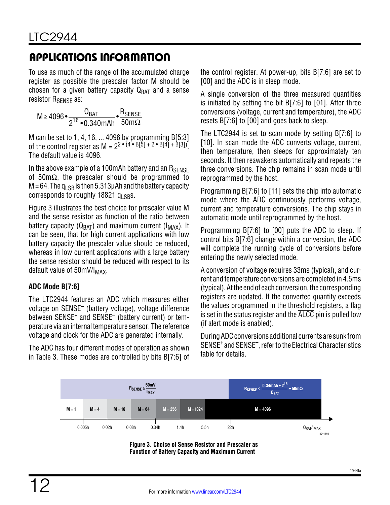To use as much of the range of the accumulated charge register as possible the prescaler factor M should be chosen for a given battery capacity  $Q_{BAT}$  and a sense resistor R<sub>SENSE</sub> as:

M≥ 4096 • QBAT <sup>216</sup> •0.340mAh • RSENSE  $50$ m $\Omega$ 

M can be set to 1, 4, 16, ... 4096 by programming B[5:3] of the control register as M =  $2^2 \cdot (4 \cdot B[5] + 2 \cdot B[4] + B[3])$ . The default value is 4096.

In the above example of a 100 mAh battery and an  $R_{\text{SENSF}}$ of 50m $\Omega$ , the prescaler should be programmed to  $M = 64$ . The q<sub>LSB</sub> is then 5.313µAh and the battery capacity corresponds to roughly 18821  $q_{\text{LSBS}}$ .

Figure 3 illustrates the best choice for prescaler value M and the sense resistor as function of the ratio between battery capacity ( $Q_{BAT}$ ) and maximum current ( $I_{MAX}$ ). It can be seen, that for high current applications with low battery capacity the prescaler value should be reduced, whereas in low current applications with a large battery the sense resistor should be reduced with respect to its default value of  $50mV/l_{MAX}$ .

### **ADC Mode B[7:6]**

The LTC2944 features an ADC which measures either voltage on SENSE– (battery voltage), voltage difference between SENSE<sup>+</sup> and SENSE<sup>-</sup> (battery current) or temperature via an internal temperature sensor. The reference voltage and clock for the ADC are generated internally.

The ADC has four different modes of operation as shown in Table 3. These modes are controlled by bits B[7:6] of the control register. At power-up, bits B[7:6] are set to [00] and the ADC is in sleep mode.

A single conversion of the three measured quantities is initiated by setting the bit B[7:6] to [01]. After three conversions (voltage, current and temperature), the ADC resets B[7:6] to [00] and goes back to sleep.

The LTC2944 is set to scan mode by setting B[7:6] to [10]. In scan mode the ADC converts voltage, current, then temperature, then sleeps for approximately ten seconds. It then reawakens automatically and repeats the three conversions. The chip remains in scan mode until reprogrammed by the host.

Programming B[7:6] to [11] sets the chip into automatic mode where the ADC continuously performs voltage, current and temperature conversions. The chip stays in automatic mode until reprogrammed by the host.

Programming B[7:6] to [00] puts the ADC to sleep. If control bits B[7:6] change within a conversion, the ADC will complete the running cycle of conversions before entering the newly selected mode.

A conversion of voltage requires 33ms (typical), and current and temperature conversions are completed in 4.5ms (typical). At the end of each conversion, the corresponding registers are updated. If the converted quantity exceeds the values programmed in the threshold registers, a flag is set in the status register and the  $\overline{\text{ALCC}}$  pin is pulled low (if alert mode is enabled).

DuringADCconversions additional currents are sunk from SENSE+ and SENSE– , refer to the Electrical Characteristics table for details.



**Figure 3. Choice of Sense Resistor and Prescaler as Function of Battery Capacity and Maximum Current**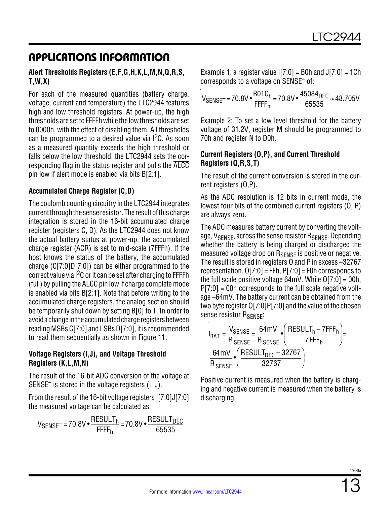#### **Alert Thresholds Registers (E,F,G,H,K,L,M,N,Q,R,S, T,W,X)**

For each of the measured quantities (battery charge, voltage, current and temperature) the LTC2944 features high and low threshold registers. At power-up, the high thresholds are set to FFFFh while the low thresholds are set to 0000h, with the effect of disabling them. All thresholds can be programmed to a desired value via  $1<sup>2</sup>C$ . As soon as a measured quantity exceeds the high threshold or falls below the low threshold, the LTC2944 sets the corresponding flag in the status register and pulls the ALCC pin low if alert mode is enabled via bits B[2:1].

#### **Accumulated Charge Register (C,D)**

The coulomb counting circuitry in the LTC2944 integrates currentthroughthe sense resistor. The resultofthis charge integration is stored in the 16-bit accumulated charge register (registers C, D). As the LTC2944 does not know the actual battery status at power-up, the accumulated charge register (ACR) is set to mid-scale (7FFFh). If the host knows the status of the battery, the accumulated charge (C[7:0]D[7:0]) can be either programmed to the correct value via  $I^2C$  or it can be set after charging to FFFFh (full) by pulling the ALCC pin low if charge complete mode is enabled via bits B[2:1]. Note that before writing to the accumulated charge registers, the analog section should be temporarily shut down by setting B[0] to 1. In order to avoid a change in the accumulated charge registers between reading MSBs C[7:0] and LSBs D[7:0], it is recommended to read them sequentially as shown in Figure 11.

#### **Voltage Registers (I,J), and Voltage Threshold Registers (K,L,M,N)**

The result of the 16-bit ADC conversion of the voltage at SENSE– is stored in the voltage registers (I, J).

From the result of the 16-bit voltage registers I[7:0]J[7:0] the measured voltage can be calculated as:

$$
V_{\text{SENSE}} = 70.8 \, \text{V} \cdot \frac{\text{RESULT}_{h}}{\text{FFF}_{h}} = 70.8 \, \text{V} \cdot \frac{\text{RESULT}_{\text{DEC}}}{65535}
$$

Example 1: a register value  $[7:0] =$  B0h and  $J[7:0] = 1$ Ch corresponds to a voltage on SENSE– of:

$$
V_{\text{SENSE}} = 70.8 \, \text{V} \cdot \frac{\text{B01C}_{h}}{\text{FFF}_{h}} = 70.8 \, \text{V} \cdot \frac{45084_{\text{DEC}}}{65535} \approx 48.705 \, \text{V}
$$

Example 2: To set a low level threshold for the battery voltage of 31.2V, register M should be programmed to 70h and register N to D0h.

#### **Current Registers (O,P), and Current Threshold Registers (Q,R,S,T)**

The result of the current conversion is stored in the current registers (O,P).

As the ADC resolution is 12 bits in current mode, the lowest four bits of the combined current registers (O, P) are always zero.

The ADC measures battery current by converting the voltage, V<sub>SENSE</sub>, across the sense resistor R<sub>SENSE</sub>. Depending whether the battery is being charged or discharged the measured voltage drop on R<sub>SENSE</sub> is positive or negative. The result is stored in registers O and P in excess –32767 representation.  $O[7:0] = FFh$ ,  $P[7:0] = F0h$  corresponds to the full scale positive voltage  $64mV$ . While  $O[7:0] = 00h$ ,  $P[7:0] = 00$ h corresponds to the full scale negative voltage –64mV. The battery current can be obtained from the two byte register O[7:0]P[7:0] and the value of the chosen sense resistor R<sub>SENSE</sub>:

$$
I_{BAT} = \frac{V_{SENSE}}{R_{SENSE}} = \frac{64 \text{mV}}{R_{SENSE}} \cdot \left(\frac{RESULT_h - 7FFF_h}{7FFF_h}\right) = \frac{64 \text{mV}}{R_{SENSE}} \cdot \left(\frac{RESULT_{DEC} - 32767}{32767}\right)
$$

Positive current is measured when the battery is charging and negative current is measured when the battery is discharging.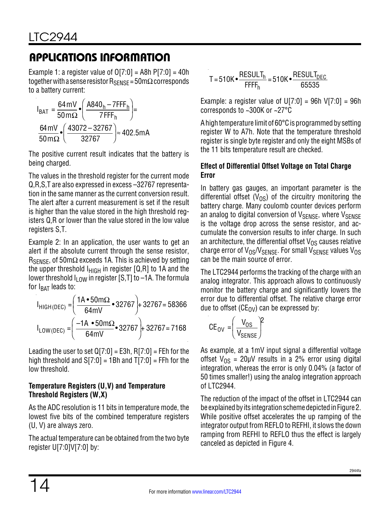Example 1: a register value of  $O[7:0] = A8h P[7:0] = 40h$ together with a sense resistor  $R_{\text{SFNSF}} = 50 \text{m}\Omega$  corresponds to a battery current:

$$
I_{BAT} = \frac{64 \text{ mV}}{50 \text{ m}\Omega} \cdot \left(\frac{A840_h - 7\text{FFF}_h}{7\text{FFF}_h}\right) =
$$
  

$$
\frac{64 \text{ mV}}{50 \text{ m}\Omega} \cdot \left(\frac{43072 - 32767}{32767}\right) \approx 402.5 \text{ mA}
$$

The positive current result indicates that the battery is being charged.

The values in the threshold register for the current mode Q,R,S,T are also expressed in excess –32767 representation in the same manner as the current conversion result. The alert after a current measurement is set if the result is higher than the value stored in the high threshold registers Q,R or lower than the value stored in the low value registers S,T.

Example 2: In an application, the user wants to get an alert if the absolute current through the sense resistor,  $R_{\text{SENSE}}$ , of 50m $\Omega$  exceeds 1A. This is achieved by setting the upper threshold  $I_{HIGH}$  in register [Q,R] to 1A and the lower threshold  $I_{\text{LOW}}$  in register [S,T] to –1A. The formula for  $I_{BAT}$  leads to:

$$
I_{HIGH(DEC)} = \left(\frac{1A \cdot 50 \text{ m}\Omega}{64 \text{ mV}} \cdot 32767\right) + 32767 = 58366
$$
  

$$
I_{LOW(DEC)} = \left(\frac{-1A \cdot 50 \text{ m}\Omega}{64 \text{ mV}} \cdot 32767\right) + 32767 = 7168
$$

Leading the user to set  $Q[7:0] = E3h$ , R[7:0] = FEh for the high threshold and  $S[7:0] = 1Bh$  and  $T[7:0] = FFh$  for the low threshold.

#### **Temperature Registers (U,V) and Temperature Threshold Registers (W,X)**

As the ADC resolution is 11 bits in temperature mode, the lowest five bits of the combined temperature registers (U, V) are always zero.

The actual temperature can be obtained from the two byte register U[7:0]V[7:0] by:

$$
T = 510K \cdot \frac{RESULT_{h}}{FFF_{h}} = 510K \cdot \frac{RESULT_{DEC}}{65535}
$$

Example: a register value of U[7:0] = 96h V[7:0] = 96h corresponds to ~300K or ~27°C

A high temperature limit of 60°C is programmed by setting register W to A7h. Note that the temperature threshold register is single byte register and only the eight MSBs of the 11 bits temperature result are checked.

### **Effect of Differential Offset Voltage on Total Charge Error**

In battery gas gauges, an important parameter is the differential offset  $(V_{OS})$  of the circuitry monitoring the battery charge. Many coulomb counter devices perform an analog to digital conversion of  $V_{\text{SFNSF}}$ , where  $V_{\text{SFNSF}}$ is the voltage drop across the sense resistor, and accumulate the conversion results to infer charge. In such an architecture, the differential offset  $V_{OS}$  causes relative charge error of  $V_{OS}/V_{SENSE}$ . For small  $V_{SENSE}$  values  $V_{OS}$ can be the main source of error.

The LTC2944 performs the tracking of the charge with an analog integrator. This approach allows to continuously monitor the battery charge and significantly lowers the error due to differential offset. The relative charge error due to offset ( $CE_{\rm OV}$ ) can be expressed by:

$$
CE_{OV} = \left(\frac{V_{OS}}{V_{SENSE}}\right)^2
$$

As example, at a 1mV input signal a differential voltage offset  $V_{OS} = 20 \mu V$  results in a 2% error using digital integration, whereas the error is only 0.04% (a factor of 50 times smaller!) using the analog integration approach of LTC2944.

The reduction of the impact of the offset in LTC2944 can be explained by its integration scheme depicted in Figure 2. While positive offset accelerates the up ramping of the integrator output from REFLO to REFHI, it slows the down ramping from REFHI to REFLO thus the effect is largely canceled as depicted in Figure 4.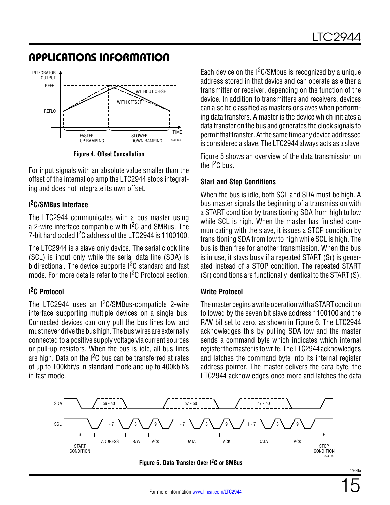

**Figure 4. Offset Cancellation**

For input signals with an absolute value smaller than the offset of the internal op amp the LTC2944 stops integrating and does not integrate its own offset.

#### **I 2C/SMBus Interface**

The LTC2944 communicates with a bus master using a 2-wire interface compatible with  $1<sup>2</sup>C$  and SMBus. The 7-bit hard coded I2C address of the LTC2944 is 1100100.

The LTC2944 is a slave only device. The serial clock line (SCL) is input only while the serial data line (SDA) is bidirectional. The device supports  $1<sup>2</sup>C$  standard and fast mode. For more details refer to the I<sup>2</sup>C Protocol section.

#### **I 2C Protocol**

The LTC2944 uses an I2C/SMBus-compatible 2-wire interface supporting multiple devices on a single bus. Connected devices can only pull the bus lines low and must never drive the bus high. The bus wires are externally connected to a positive supply voltage via current sources or pull-up resistors. When the bus is idle, all bus lines are high. Data on the  $1<sup>2</sup>C$  bus can be transferred at rates of up to 100kbit/s in standard mode and up to 400kbit/s in fast mode.

Each device on the  $1<sup>2</sup>C/SMbus$  is recognized by a unique address stored in that device and can operate as either a transmitter or receiver, depending on the function of the device. In addition to transmitters and receivers, devices can also be classified as masters or slaves when performing data transfers. A master is the device which initiates a data transfer on the bus and generates the clock signals to permitthattransfer. Atthe same time anydevice addressed is considered a slave. The LTC2944 always acts as a slave.

Figure 5 shows an overview of the data transmission on the  $I^2C$  bus.

#### **Start and Stop Conditions**

When the bus is idle, both SCL and SDA must be high. A bus master signals the beginning of a transmission with a START condition by transitioning SDA from high to low while SCL is high. When the master has finished communicating with the slave, it issues a STOP condition by transitioning SDA from low to high while SCL is high. The bus is then free for another transmission. When the bus is in use, it stays busy if a repeated START (Sr) is generated instead of a STOP condition. The repeated START (Sr) conditions are functionally identical to the START (S).

#### **Write Protocol**

The master begins a write operation with a START condition followed by the seven bit slave address 1100100 and the R/W bit set to zero, as shown in Figure 6. The LTC2944 acknowledges this by pulling SDA low and the master sends a command byte which indicates which internal register the master is to write. The LTC2944 acknowledges and latches the command byte into its internal register address pointer. The master delivers the data byte, the LTC2944 acknowledges once more and latches the data



**Figure 5. Data Transfer Over I2C or SMBus**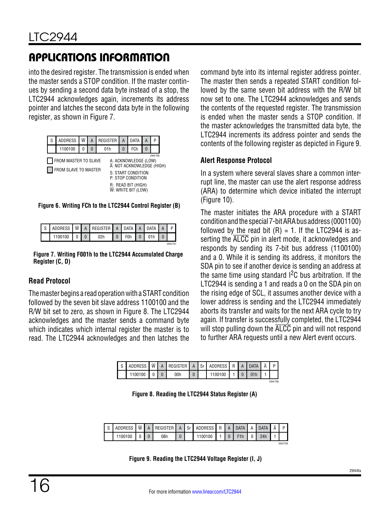into the desired register. The transmission is ended when the master sends a STOP condition. If the master continues by sending a second data byte instead of a stop, the LTC2944 acknowledges again, increments its address pointer and latches the second data byte in the following register, as shown in Figure 7.

| S                                                                                                                                                              | <b>ADDRESS</b> | $\overline{\mathsf{w}}$ | А | <b>REGISTER</b> | A | <b>DATA</b>                                            | А | P |  |  |  |  |
|----------------------------------------------------------------------------------------------------------------------------------------------------------------|----------------|-------------------------|---|-----------------|---|--------------------------------------------------------|---|---|--|--|--|--|
|                                                                                                                                                                | 1100100        |                         | O | 01h             | 0 | FCh                                                    |   |   |  |  |  |  |
| 2944 F06<br>FROM MASTER TO SLAVE<br>A: ACKNOWLEDGE (LOW)<br>A: NOT ACKNOWLEDGE (HIGH)<br>FROM SLAVE TO MASTER<br>н.<br>S: START CONDITION<br>P: STOP CONDITION |                |                         |   |                 |   |                                                        |   |   |  |  |  |  |
|                                                                                                                                                                |                |                         |   |                 |   | R: READ BIT (HIGH)<br>$\overline{W}$ : WRITE BIT (LOW) |   |   |  |  |  |  |

**Figure 6. Writing FCh to the LTC2944 Control Register (B)**

| $\sim$ | <b>ADDRESS</b> | $\overline{\mathsf{W}}$ | A | REGISTER | A | <b>DATA</b>      | A | <b>DATA</b> | Α |          |
|--------|----------------|-------------------------|---|----------|---|------------------|---|-------------|---|----------|
|        |                |                         |   | 02h      | 0 | F <sub>0</sub> h |   |             |   |          |
|        |                |                         |   |          |   |                  |   |             |   | 2944 F07 |

**Figure 7. Writing F001h to the LTC2944 Accumulated Charge Register (C, D)**

#### **Read Protocol**

The master begins a read operation with a START condition followed by the seven bit slave address 1100100 and the R/W bit set to zero, as shown in Figure 8. The LTC2944 acknowledges and the master sends a command byte which indicates which internal register the master is to read. The LTC2944 acknowledges and then latches the command byte into its internal register address pointer. The master then sends a repeated START condition followed by the same seven bit address with the R/W bit now set to one. The LTC2944 acknowledges and sends the contents of the requested register. The transmission is ended when the master sends a STOP condition. If the master acknowledges the transmitted data byte, the LTC2944 increments its address pointer and sends the contents of the following register as depicted in Figure 9.

#### **Alert Response Protocol**

In a system where several slaves share a common interrupt line, the master can use the alert response address (ARA) to determine which device initiated the interrupt (Figure 10).

The master initiates the ARA procedure with a START conditionandthe special 7-bitARAbus address (0001100) followed by the read bit  $(R) = 1$ . If the LTC2944 is asserting the ALCC pin in alert mode, it acknowledges and responds by sending its 7-bit bus address (1100100) and a 0. While it is sending its address, it monitors the SDA pin to see if another device is sending an address at the same time using standard  $1<sup>2</sup>C$  bus arbitration. If the LTC2944 is sending a 1 and reads a 0 on the SDA pin on the rising edge of SCL, it assumes another device with a lower address is sending and the LTC2944 immediately aborts its transfer and waits for the next ARA cycle to try again. If transfer is successfully completed, the LTC2944 will stop pulling down the ALCC pin and will not respond to further ARA requests until a new Alert event occurs.

| ◠<br>U | ADDRESS | $\overline{W}$ | <b>EGISTER</b> | c.<br>ບເ | ADDRESS | R |  | $\overline{\Delta}$ | D        |
|--------|---------|----------------|----------------|----------|---------|---|--|---------------------|----------|
|        | 100100  |                | 00h            |          |         |   |  |                     |          |
|        |         |                |                |          |         |   |  |                     | 2944 F08 |

**Figure 8. Reading the LTC2944 Status Register (A)**

| ADDRESS W | $\mathsf{A}$ | REGISTER A |  | Sr ADDRESS R A DATA |  |                  | DATA |          |
|-----------|--------------|------------|--|---------------------|--|------------------|------|----------|
| 1100100   |              | 08h        |  | 1100100             |  | F <sub>1</sub> h | 24h  |          |
|           |              |            |  |                     |  |                  |      | 2944 F09 |

**Figure 9. Reading the LTC2944 Voltage Register (I, J)**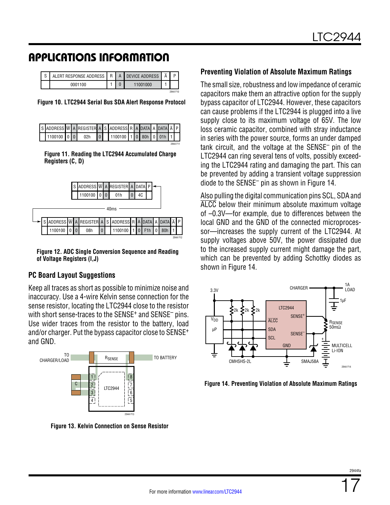| ALERT RESPONSE ADDRESS |  | R   A   DEVICE ADDRESS |          |
|------------------------|--|------------------------|----------|
| 0001100                |  | 11001000               |          |
|                        |  |                        | 2944 F10 |

**Figure 10. LTC2944 Serial Bus SDA Alert Response Protocol**

|  |  | SADDRESS $\overline{W}$ A REGISTER A SADDRESS R A DATA A DATA $\overline{A}$ P |  |  |  |  |                 |
|--|--|--------------------------------------------------------------------------------|--|--|--|--|-----------------|
|  |  | 1100100 0 0 0 0 0 0 0 1100100 1 0 80h 0 01h 1                                  |  |  |  |  |                 |
|  |  |                                                                                |  |  |  |  | <b>2044 E11</b> |

**Figure 11. Reading the LTC2944 Accumulated Charge Registers (C, D)**



**Figure 12. ADC Single Conversion Sequence and Reading of Voltage Registers (I,J)**

#### **PC Board Layout Suggestions**

Keep all traces as short as possible to minimize noise and inaccuracy. Use a 4-wire Kelvin sense connection for the sense resistor, locating the LTC2944 close to the resistor with short sense-traces to the SENSE<sup>+</sup> and SENSE<sup>-</sup> pins. Use wider traces from the resistor to the battery, load and/or charger. Put the bypass capacitor close to SENSE+ and GND.



**Figure 13. Kelvin Connection on Sense Resistor**

#### **Preventing Violation of Absolute Maximum Ratings**

The small size, robustness and low impedance of ceramic capacitors make them an attractive option for the supply bypass capacitor of LTC2944. However, these capacitors can cause problems if the LTC2944 is plugged into a live supply close to its maximum voltage of 65V. The low loss ceramic capacitor, combined with stray inductance in series with the power source, forms an under damped tank circuit, and the voltage at the SENSE– pin of the LTC2944 can ring several tens of volts, possibly exceeding the LTC2944 rating and damaging the part. This can be prevented by adding a transient voltage suppression diode to the SENSE– pin as shown in Figure 14.

Also pulling the digital communication pins SCL, SDA and ALCC below their minimum absolute maximum voltage of –0.3V—for example, due to differences between the local GND and the GND of the connected microprocessor—increases the supply current of the LTC2944. At supply voltages above 50V, the power dissipated due to the increased supply current might damage the part, which can be prevented by adding Schottky diodes as shown in Figure 14.



**Figure 14. Preventing Violation of Absolute Maximum Ratings**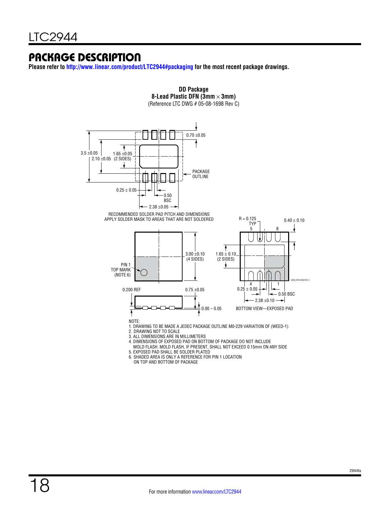### Package Description

**Please refer to<http://www.linear.com/product/LTC2944#packaging>for the most recent package drawings.**



**DD Package 8-Lead Plastic DFN (3mm** × **3mm)**

5. EXPOSED PAD SHALL BE SOLDER PLATED 6. SHADED AREA IS ONLY A REFERENCE FOR PIN 1 LOCATION

ON TOP AND BOTTOM OF PACKAGE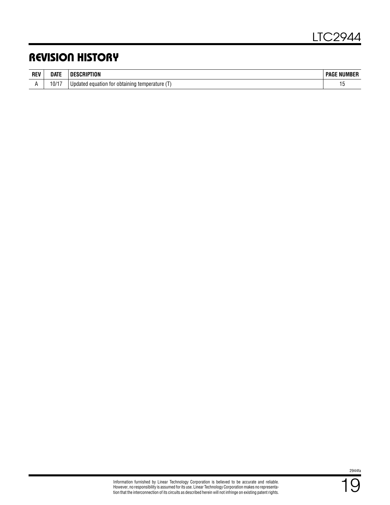### Revision History

| <b>REV</b> | <b>DATE</b> | 'ION<br>≺∣Р                                         | : NUMBER<br>PAGE |
|------------|-------------|-----------------------------------------------------|------------------|
| . .        | 10/17       | Updated equation for<br>obtaining<br>rtemperature i | 1 V              |